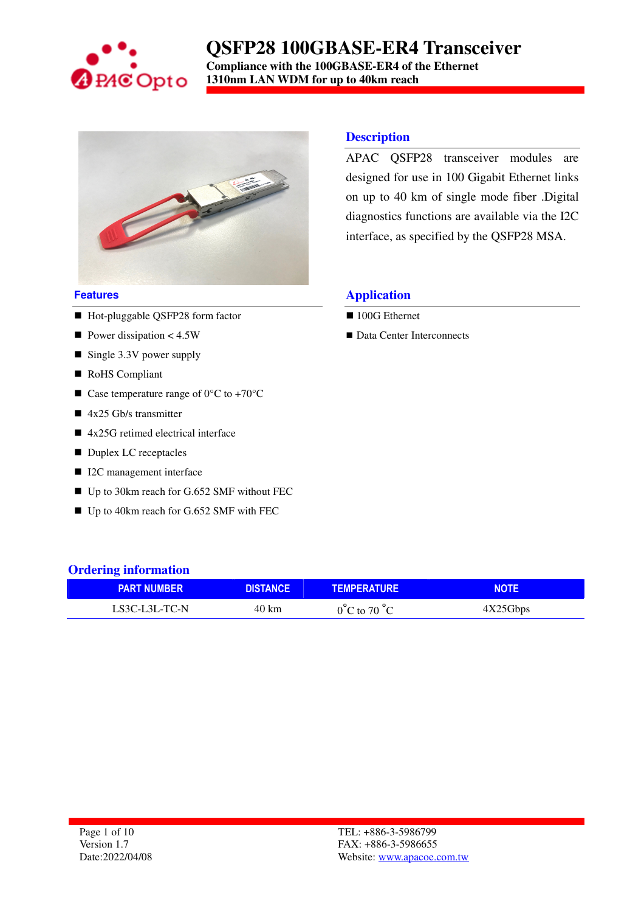

**Compliance with the 100GBASE-ER4 of the Ethernet 1310nm LAN WDM for up to 40km reach** 



#### **Features**

- Hot-pluggable QSFP28 form factor
- Power dissipation  $< 4.5W$
- Single 3.3V power supply
- RoHS Compliant
- Case temperature range of  $0^{\circ}$ C to +70 $^{\circ}$ C
- $\blacksquare$  4x25 Gb/s transmitter
- 4x25G retimed electrical interface
- Duplex LC receptacles
- I2C management interface
- Up to 30km reach for G.652 SMF without FEC
- Up to 40km reach for G.652 SMF with FEC

#### **Description**

APAC QSFP28 transceiver modules are designed for use in 100 Gigabit Ethernet links on up to 40 km of single mode fiber .Digital diagnostics functions are available via the I2C interface, as specified by the QSFP28 MSA.

#### **Application**

- 100G Ethernet
- Data Center Interconnects

| <b>Ordering information</b> |                 |                                  |             |  |  |  |  |
|-----------------------------|-----------------|----------------------------------|-------------|--|--|--|--|
| <b>PART NUMBER</b>          | <b>DISTANCE</b> | <b>TEMPERATURE</b>               | <b>NOTE</b> |  |  |  |  |
| LS3C-L3L-TC-N               | 40 km           | $0^{\circ}$ C to 70 $^{\circ}$ C | 4X25Gbps    |  |  |  |  |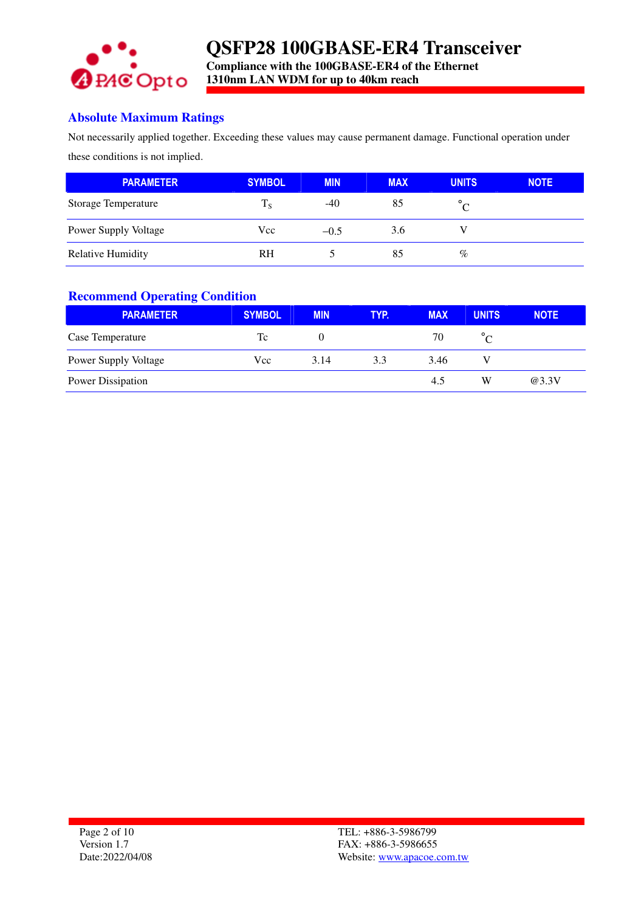

### **Absolute Maximum Ratings**

Not necessarily applied together. Exceeding these values may cause permanent damage. Functional operation under these conditions is not implied.

| <b>PARAMETER</b>         | <b>SYMBOL</b> | <b>MIN</b> | <b>MAX</b> | <b>UNITS</b> | <b>NOTE</b> |
|--------------------------|---------------|------------|------------|--------------|-------------|
| Storage Temperature      | $T_{\rm S}$   | $-40$      | 85         | $^{\circ}$ C |             |
| Power Supply Voltage     | Vcc           | $-0.5$     | 3.6        |              |             |
| <b>Relative Humidity</b> | <b>RH</b>     |            | 85         | $\%$         |             |

#### **Recommend Operating Condition**

| <b>PARAMETER</b>            | <b>SYMBOL</b> | <b>MIN</b> | <b>TYP.</b> | <b>MAX</b> | <b>UNITS</b> | <b>NOTE</b> |
|-----------------------------|---------------|------------|-------------|------------|--------------|-------------|
| Case Temperature            | Tc            |            |             | 70         |              |             |
| <b>Power Supply Voltage</b> | Vcc           | 3.14       | 3.3         | 3.46       |              |             |
| Power Dissipation           |               |            |             | 4.5        | W            | @3.3V       |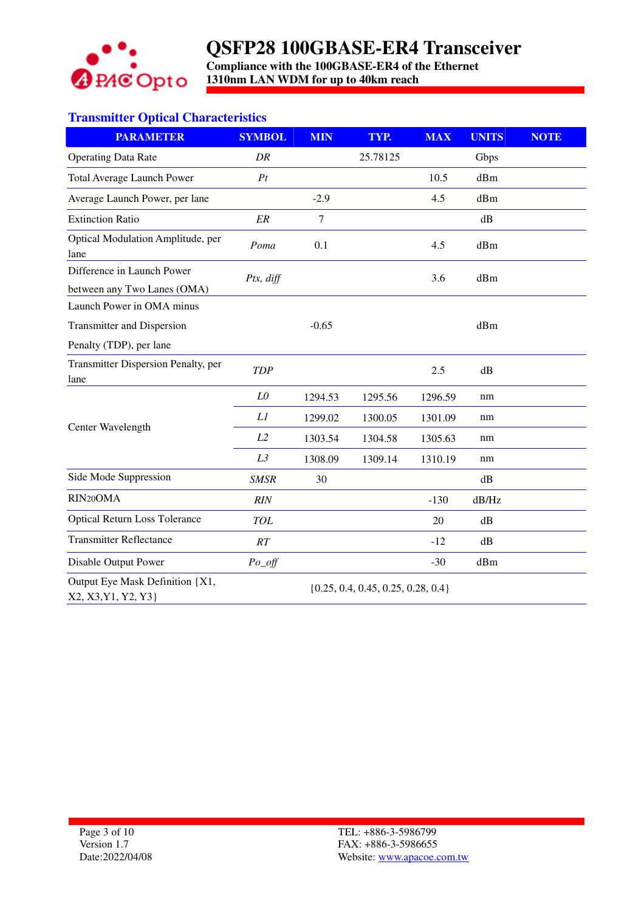

**Compliance with the 100GBASE-ER4 of the Ethernet 1310nm LAN WDM for up to 40km reach** 

## **Transmitter Optical Characteristics**

| <b>PARAMETER</b>                                       | <b>SYMBOL</b>                          | <b>MIN</b> | TYP.     | <b>MAX</b> | <b>UNITS</b> | <b>NOTE</b> |
|--------------------------------------------------------|----------------------------------------|------------|----------|------------|--------------|-------------|
| <b>Operating Data Rate</b>                             | DR                                     |            | 25.78125 |            | Gbps         |             |
| <b>Total Average Launch Power</b>                      | Pt                                     |            |          | 10.5       | dBm          |             |
| Average Launch Power, per lane                         |                                        | $-2.9$     |          | 4.5        | dBm          |             |
| <b>Extinction Ratio</b>                                | ${\it ER}$                             | $\tau$     |          |            | dB           |             |
| Optical Modulation Amplitude, per<br>lane              | Poma                                   | 0.1        |          | 4.5        | dBm          |             |
| Difference in Launch Power                             | Ptx, diff                              |            |          | 3.6        | dBm          |             |
| between any Two Lanes (OMA)                            |                                        |            |          |            |              |             |
| Launch Power in OMA minus                              |                                        |            |          |            |              |             |
| Transmitter and Dispersion                             |                                        | $-0.65$    |          |            | dBm          |             |
| Penalty (TDP), per lane                                |                                        |            |          |            |              |             |
| Transmitter Dispersion Penalty, per<br>lane            | <b>TDP</b>                             |            |          | 2.5        | dB           |             |
|                                                        | ${\it LO}$                             | 1294.53    | 1295.56  | 1296.59    | nm           |             |
|                                                        | Ll                                     | 1299.02    | 1300.05  | 1301.09    | nm           |             |
| Center Wavelength                                      | L2                                     | 1303.54    | 1304.58  | 1305.63    | nm           |             |
|                                                        | L3                                     | 1308.09    | 1309.14  | 1310.19    | nm           |             |
| Side Mode Suppression                                  | <b>SMSR</b>                            | 30         |          |            | dB           |             |
| RIN <sub>20</sub> OMA                                  | RIN                                    |            |          | $-130$     | dB/Hz        |             |
| <b>Optical Return Loss Tolerance</b>                   | <b>TOL</b>                             |            |          | 20         | dB           |             |
| <b>Transmitter Reflectance</b>                         | RT                                     |            |          | $-12$      | dB           |             |
| Disable Output Power                                   | $Po\_off$                              |            |          | $-30$      | dBm          |             |
| Output Eye Mask Definition {X1,<br>X2, X3, Y1, Y2, Y3} | $\{0.25, 0.4, 0.45, 0.25, 0.28, 0.4\}$ |            |          |            |              |             |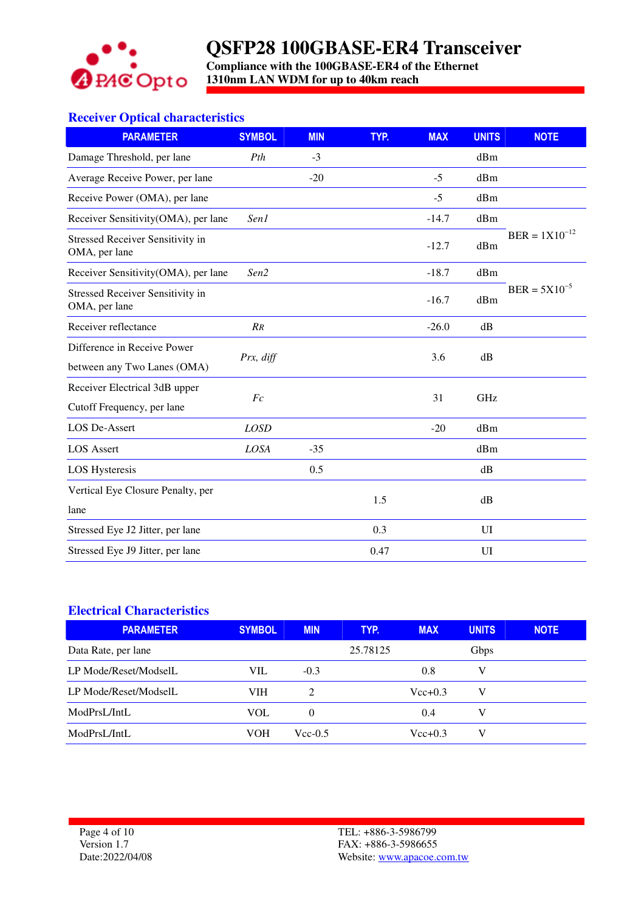

**Compliance with the 100GBASE-ER4 of the Ethernet 1310nm LAN WDM for up to 40km reach** 

### **Receiver Optical characteristics**

| <b>PARAMETER</b>                                         | <b>SYMBOL</b>   | <b>MIN</b> | TYP. | <b>MAX</b> | <b>UNITS</b> | <b>NOTE</b>        |
|----------------------------------------------------------|-----------------|------------|------|------------|--------------|--------------------|
| Damage Threshold, per lane                               | Pth             | $-3$       |      |            | dBm          |                    |
| Average Receive Power, per lane                          |                 | $-20$      |      | $-5$       | dBm          |                    |
| Receive Power (OMA), per lane                            |                 |            |      | $-5$       | dBm          |                    |
| Receiver Sensitivity(OMA), per lane                      | Sen1            |            |      | $-14.7$    | dBm          |                    |
| <b>Stressed Receiver Sensitivity in</b><br>OMA, per lane |                 |            |      | $-12.7$    | dBm          | $BER = 1X10^{-12}$ |
| Receiver Sensitivity(OMA), per lane                      | Sen2            |            |      | $-18.7$    | dBm          |                    |
| <b>Stressed Receiver Sensitivity in</b><br>OMA, per lane |                 |            |      | $-16.7$    | dBm          | $BER = 5X10^{-5}$  |
| Receiver reflectance                                     | $\overline{RR}$ |            |      | $-26.0$    | dB           |                    |
| Difference in Receive Power                              |                 |            |      |            |              |                    |
| between any Two Lanes (OMA)                              | Prx, diff       |            |      | 3.6        | dB           |                    |
| Receiver Electrical 3dB upper                            | Fc              |            |      | 31         | GHz          |                    |
| Cutoff Frequency, per lane                               |                 |            |      |            |              |                    |
| <b>LOS De-Assert</b>                                     | <b>LOSD</b>     |            |      | $-20$      | dBm          |                    |
| <b>LOS</b> Assert                                        | LOSA            | $-35$      |      |            | dBm          |                    |
| <b>LOS Hysteresis</b>                                    |                 | 0.5        |      |            | dB           |                    |
| Vertical Eye Closure Penalty, per                        |                 |            | 1.5  |            |              |                    |
| lane                                                     |                 |            |      |            | dB           |                    |
| Stressed Eye J2 Jitter, per lane                         |                 |            | 0.3  |            | UI           |                    |
| Stressed Eye J9 Jitter, per lane                         |                 |            | 0.47 |            | UI           |                    |

#### **Electrical Characteristics**

| <b>PARAMETER</b>      | <b>SYMBOL</b> | <b>MIN</b>                  | TYP.     | <b>MAX</b>  | <b>UNITS</b> | <b>NOTE</b> |
|-----------------------|---------------|-----------------------------|----------|-------------|--------------|-------------|
| Data Rate, per lane   |               |                             | 25.78125 |             | Gbps         |             |
| LP Mode/Reset/ModselL | VIL           | $-0.3$                      |          | 0.8         | V            |             |
| LP Mode/Reset/ModselL | <b>VIH</b>    | $\mathcal{D}_{\mathcal{L}}$ |          | $Vec{+}0.3$ | V            |             |
| ModPrsL/IntL          | VOL           | $\theta$                    |          | 0.4         | V            |             |
| ModPrsL/IntL          | VOH           | $Vec-0.5$                   |          | $Vec{+}0.3$ | V            |             |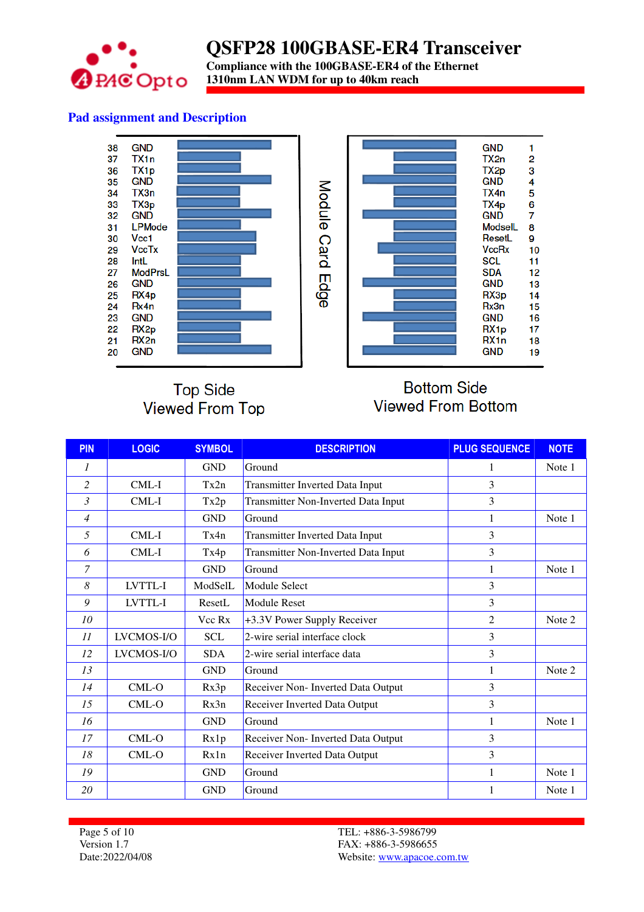

**Compliance with the 100GBASE-ER4 of the Ethernet 1310nm LAN WDM for up to 40km reach** 

### **Pad assignment and Description**



## **Top Side Viewed From Top**

## **Bottom Side Viewed From Bottom**

| <b>PIN</b>     | <b>LOGIC</b> | <b>SYMBOL</b> | <b>DESCRIPTION</b>                     | <b>PLUG SEQUENCE</b> | <b>NOTE</b> |
|----------------|--------------|---------------|----------------------------------------|----------------------|-------------|
| 1              |              | <b>GND</b>    | Ground                                 | 1                    | Note 1      |
| 2              | CML-I        | Tx2n          | <b>Transmitter Inverted Data Input</b> | 3                    |             |
| 3              | CML-I        | Tx2p          | Transmitter Non-Inverted Data Input    | 3                    |             |
| 4              |              | <b>GND</b>    | Ground                                 |                      | Note 1      |
| 5              | CML-I        | Tx4n          | Transmitter Inverted Data Input        | 3                    |             |
| 6              | CML-I        | Tx4p          | Transmitter Non-Inverted Data Input    | 3                    |             |
| $\overline{7}$ |              | <b>GND</b>    | Ground                                 |                      | Note 1      |
| 8              | LVTTL-I      | ModSelL       | Module Select                          | 3                    |             |
| 9              | LVTTL-I      | ResetL        | <b>Module Reset</b>                    | 3                    |             |
| 10             |              | Vcc Rx        | +3.3V Power Supply Receiver            | $\overline{2}$       | Note 2      |
| 11             | LVCMOS-I/O   | <b>SCL</b>    | 2-wire serial interface clock          | 3                    |             |
| 12             | LVCMOS-I/O   | <b>SDA</b>    | 2-wire serial interface data           | 3                    |             |
| 13             |              | <b>GND</b>    | Ground                                 |                      | Note 2      |
| 14             | CML-O        | Rx3p          | Receiver Non- Inverted Data Output     | 3                    |             |
| 15             | $CML-O$      | Rx3n          | Receiver Inverted Data Output          | 3                    |             |
| 16             |              | <b>GND</b>    | Ground                                 | 1                    | Note 1      |
| 17             | CML-O        | Rx1p          | Receiver Non- Inverted Data Output     | 3                    |             |
| 18             | CML-O        | Rx1n          | Receiver Inverted Data Output          | 3                    |             |
| 19             |              | <b>GND</b>    | Ground                                 |                      | Note 1      |
| 20             |              | <b>GND</b>    | Ground                                 |                      | Note 1      |

Page 5 of 10 Version 1.7 Date:2022/04/08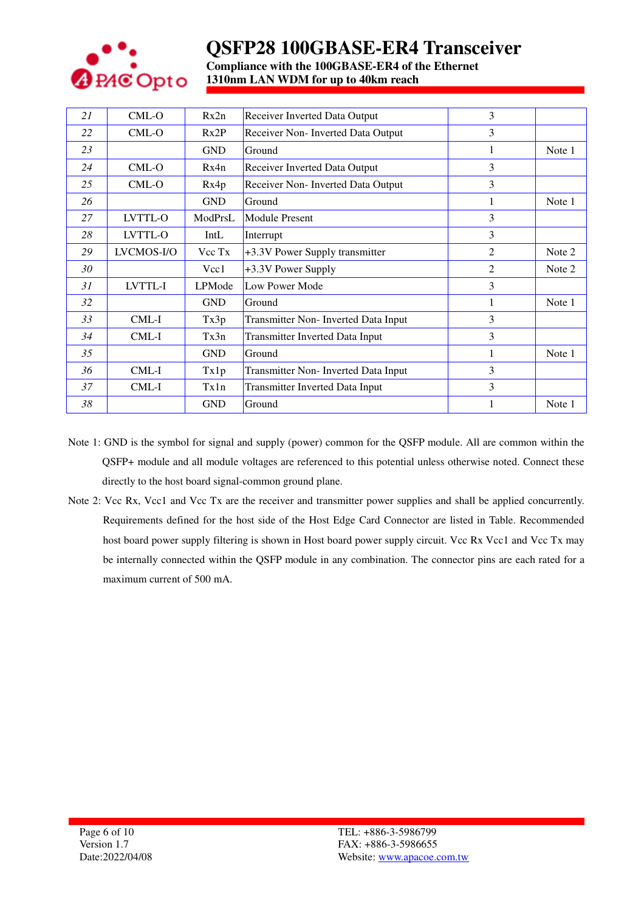

**Compliance with the 100GBASE-ER4 of the Ethernet 1310nm LAN WDM for up to 40km reach** 

| 21 | CML-O      | Rx2n       | Receiver Inverted Data Output          | 3 |        |
|----|------------|------------|----------------------------------------|---|--------|
| 22 | $CML-O$    | Rx2P       | Receiver Non- Inverted Data Output     | 3 |        |
| 23 |            | <b>GND</b> | Ground                                 |   | Note 1 |
| 24 | CML-O      | Rx4n       | Receiver Inverted Data Output          | 3 |        |
| 25 | CML-O      | Rx4p       | Receiver Non- Inverted Data Output     | 3 |        |
| 26 |            | <b>GND</b> | Ground                                 |   | Note 1 |
| 27 | LVTTL-O    | ModPrsL    | <b>Module Present</b>                  | 3 |        |
| 28 | LVTTL-O    | IntL       | Interrupt                              | 3 |        |
| 29 | LVCMOS-I/O | Vcc Tx     | +3.3V Power Supply transmitter         | 2 | Note 2 |
| 30 |            | Vcc1       | +3.3V Power Supply                     | 2 | Note 2 |
| 31 | LVTTL-I    | LPMode     | Low Power Mode                         | 3 |        |
| 32 |            | <b>GND</b> | Ground                                 | 1 | Note 1 |
| 33 | CML-I      | Tx3p       | Transmitter Non- Inverted Data Input   | 3 |        |
| 34 | CML-I      | Tx3n       | <b>Transmitter Inverted Data Input</b> | 3 |        |
| 35 |            | <b>GND</b> | Ground                                 | 1 | Note 1 |
| 36 | CML-I      | Tx1p       | Transmitter Non- Inverted Data Input   | 3 |        |
| 37 | CML-I      | Tx1n       | <b>Transmitter Inverted Data Input</b> | 3 |        |
| 38 |            | <b>GND</b> | Ground                                 |   | Note 1 |

Note 1: GND is the symbol for signal and supply (power) common for the QSFP module. All are common within the QSFP+ module and all module voltages are referenced to this potential unless otherwise noted. Connect these directly to the host board signal-common ground plane.

Note 2: Vcc Rx, Vcc1 and Vcc Tx are the receiver and transmitter power supplies and shall be applied concurrently. Requirements defined for the host side of the Host Edge Card Connector are listed in Table. Recommended host board power supply filtering is shown in Host board power supply circuit. Vcc Rx Vcc1 and Vcc Tx may be internally connected within the QSFP module in any combination. The connector pins are each rated for a maximum current of 500 mA.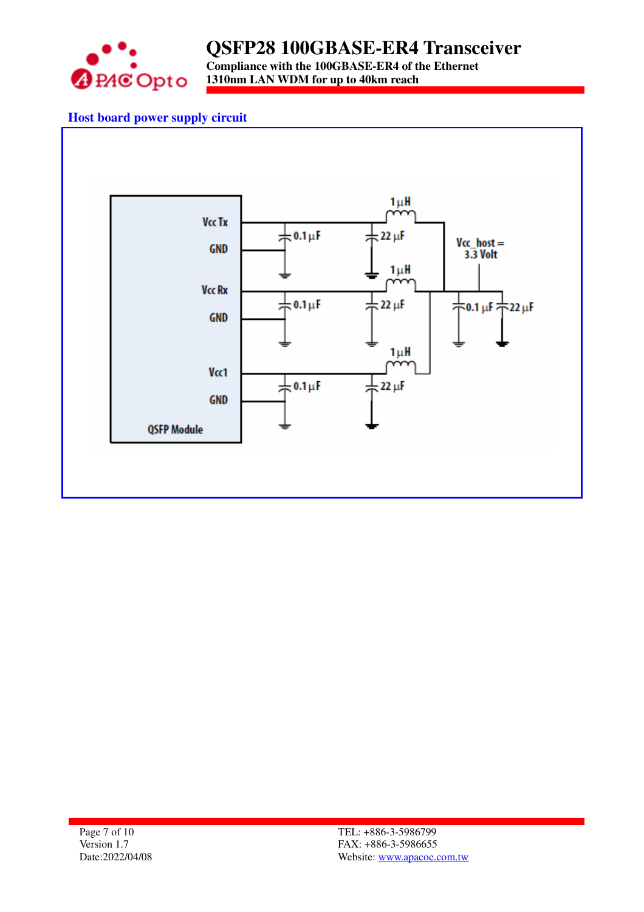

**Compliance with the 100GBASE-ER4 of the Ethernet 1310nm LAN WDM for up to 40km reach** 

### **Host board power supply circuit**

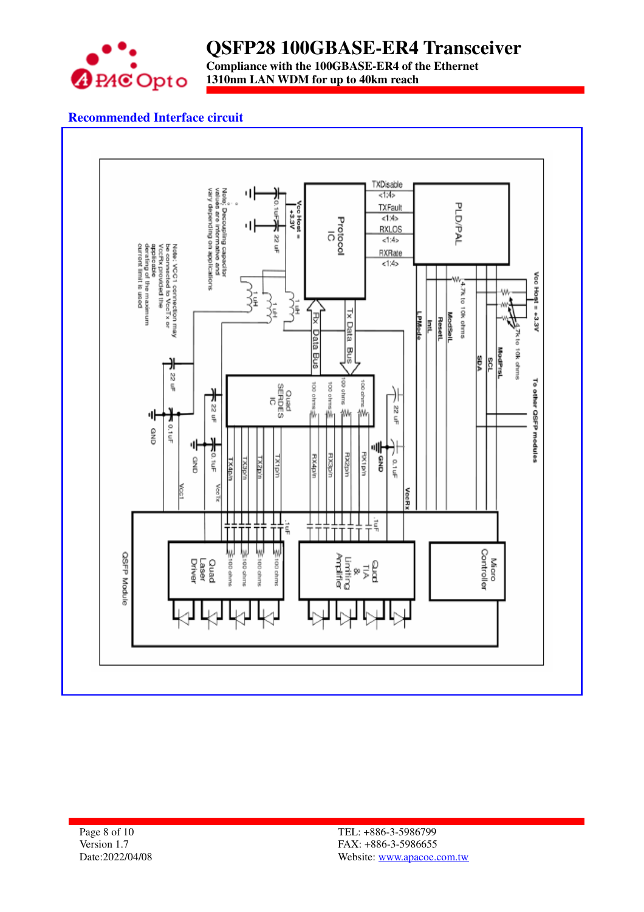

**Compliance with the 100GBASE-ER4 of the Ethernet 1310nm LAN WDM for up to 40km reach** 

### **Recommended Interface circuit**

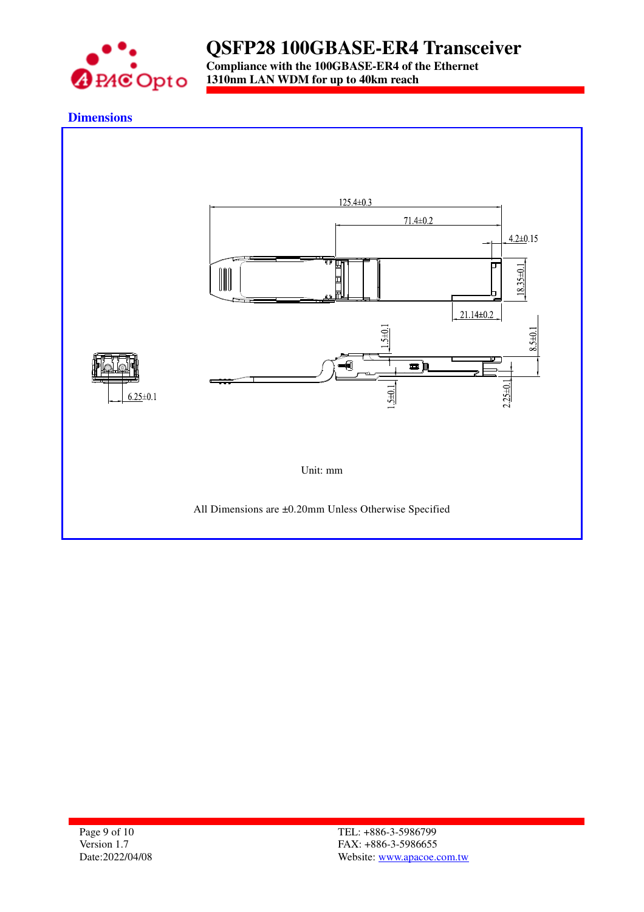

**Compliance with the 100GBASE-ER4 of the Ethernet 1310nm LAN WDM for up to 40km reach** 

#### **Dimensions**